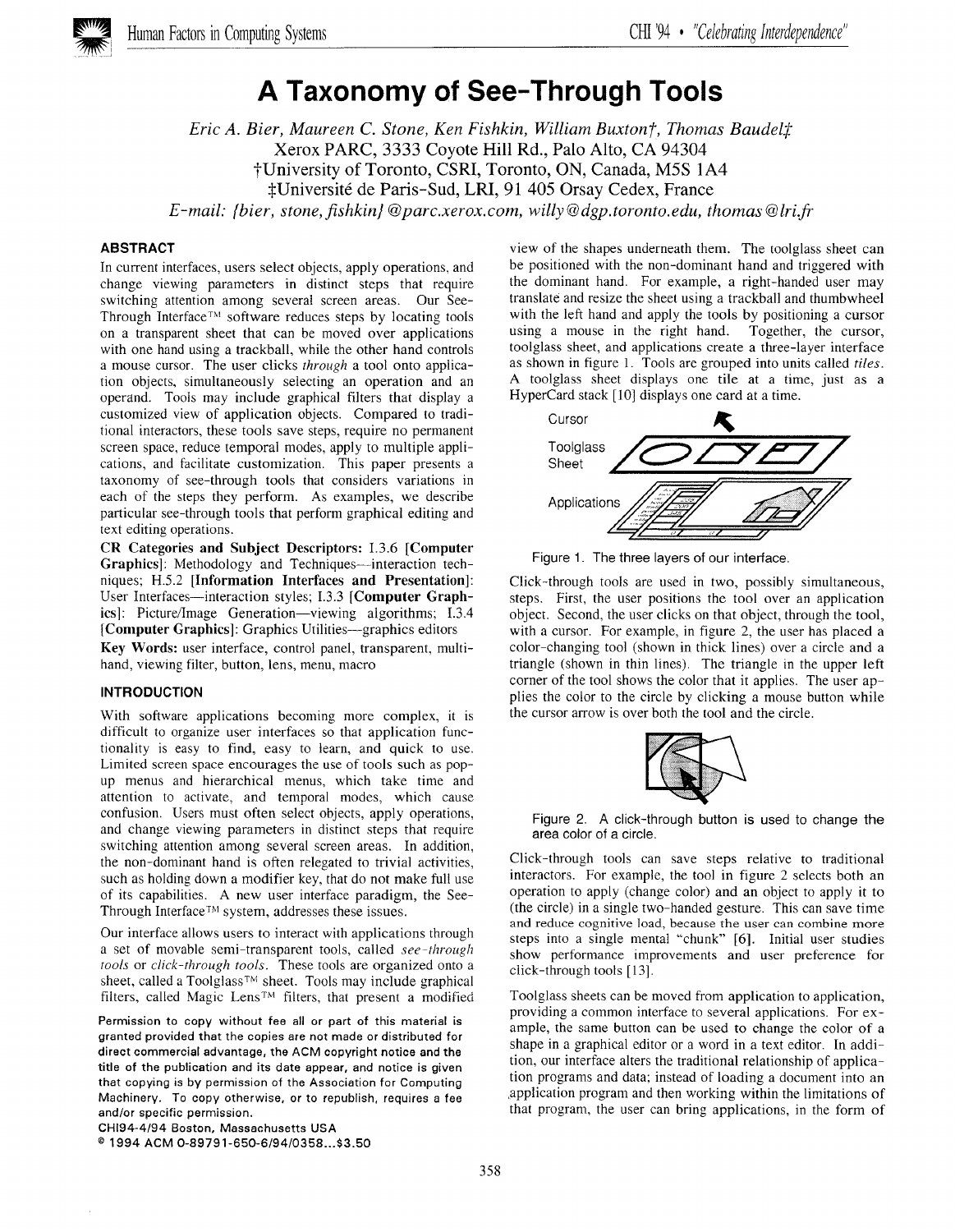# A Taxonomy of See-Through Tools

Eric A. Bier, Maureen C. Stone, Ken Fishkin, William Buxton†, Thomas Baudel $\ddagger$ Xerox PARC, 3333 Coyote Hill Rd., Palo Alto, CA 94304 ~University of Toronto, CSRI, Toronto, ON, Canada, M5S 1A4 \$Universite de Paris-Sud, LRI, 91405 Orsay Cedex, France

E-mail: {bier, stone, fishkin} @parc.xerox.com, willy @dgp.toronto.edu, thomas @ lri.fr

# **ABSTRACT**

In current interfaces, users select objects, apply operations, and change viewing parameters in distinct steps that require switching attention among several screen areas. Our See-Through Interface<sup>TM</sup> software reduces steps by locating tools on a transparent sheet that can be moved over applications with one hand using a trackball, while the other hand controls a mouse cursor. The user clicks through a tool onto application objects, simultaneously selecting an operation and an operand. Toois may include graphical filters that display a customized view of application objects. Compared to traditional interactors, these tools save steps, require no permanent screen space, reduce temporal modes, apply to multiple applications, and facilitate customization. This paper presents a taxonomy of see-through tools that considers variations in each of the steps they perform. As examples, we describe particular see-through tools that perform graphical editing and text editing operations.

CR Categories and Subject Descriptors: 1.3.6 [Computer Graphics]: Methodology and Techniques—interaction techniques; H.5.2 [Information Interfaces and Presentation]: User Interfaces—interaction styles; 1.3.3 [Computer Graphics]: Picture/Image Generation—viewing algorithms; 1.3.4 [Computer Graphics]: Graphics Utilities—graphics editors

Key Words: user interface, control panel, transparent, multihand, viewing filter, button, lens, menu, macro

## INTRODUCTION

With software applications becoming more complex, it is difficult to organize user interfaces so that application functionality is easy to find, easy to learn, and quick to use. Limited screen space encourages the use of tools such as popup menus and hierarchical menus, which take time and attention to activate, and temporal modes, which cause confusion. Users must often select objects, apply operations, and change viewing parameters in distinct steps that require switching attention among several screen areas. In addition, the non-dominant hand is often relegated to trivial activities, such as holding down a modifier key, that do not make full use of its capabilities. A new user interface paradigm, the See-Through Interface<sup>TM</sup> system, addresses these issues.

Our interface allows users to interact with applications through a set of movable semi-transparent tools, called see-through tools or click-through tools. These tools are organized onto a sheet, called a Toolglass™ sheet. Tools may include graphical filters, called Magic Lens<sup>TM</sup> filters, that present a modified

Permission to copy without fee all or part of this material is granted provided that the copies are not made or distributed for direct commercial advantage, the ACM copyright notice and the title of the publication and its date appear, and notice is given that copying is by permission of the Association for Computing Machinery. To copy otherwise, or to republish, requires a fee and/or specific permission.

CH194-4/94 Boston, Massachusetts USA

<sup>©</sup> 1994 ACM 0-89791-650-6/94/0358... \$3.50

view of the shapes underneath them. The toolglass sheet can be positioned with the non-dominant hand and triggered with the dominant hand. For example, a right-handed user may translate and resize the sheet using a trackball and thumbwheel with the left hand and apply the tools by positioning a cursor using a mouse in the right hand. Together, the cursor, toolglass sheet, and applications create a three-layer interface as shown in figure 1. Tools are grouped into units called tiles. A toolglass sheet displays one tile at a time, just as a HyperCard stack [10] displays one card at a time.



Figure 1. The three layers of our interface.

Click-through tools are used in two, possibly simultaneous, steps. First, the user positions the tool over an application object. Second, the user clicks on that object, through the tool, with a cursor. For example, in figure 2, the user has placed a color-changing tool (shown in thick lines) over a circle and a triangle (shown in thin lines). The triangle in the upper left corner of the tool shows the color that it applies. The user applies the color to the circle by clicking a mouse button while the cursor arrow is over both the tool and the circle.



Figure 2, A click-through button is used to change the area color of a circle.

Click-through tools can save steps relative to traditional interactors. For example, the tool in figure 2 selects both an operation to apply (change color) and an object to apply it to (the circle) in a single two-handed gesture. This can save time and reduce cognitive load, because the user can combine more steps into a single mental "chunk" [6]. Initial user studies show performance improvements and user preference for click-through tools [13].

Toolglass sheets can be moved from application to application, providing a common interface to several applications. For example, the same button can be used to change the color of a shape in a graphical editor or a word in a text editor. In addition, our interface alters the traditional relationship of application programs and data; instead of loading a document into an application program and then working within the limitations of that program, the user can bring applications, in the form of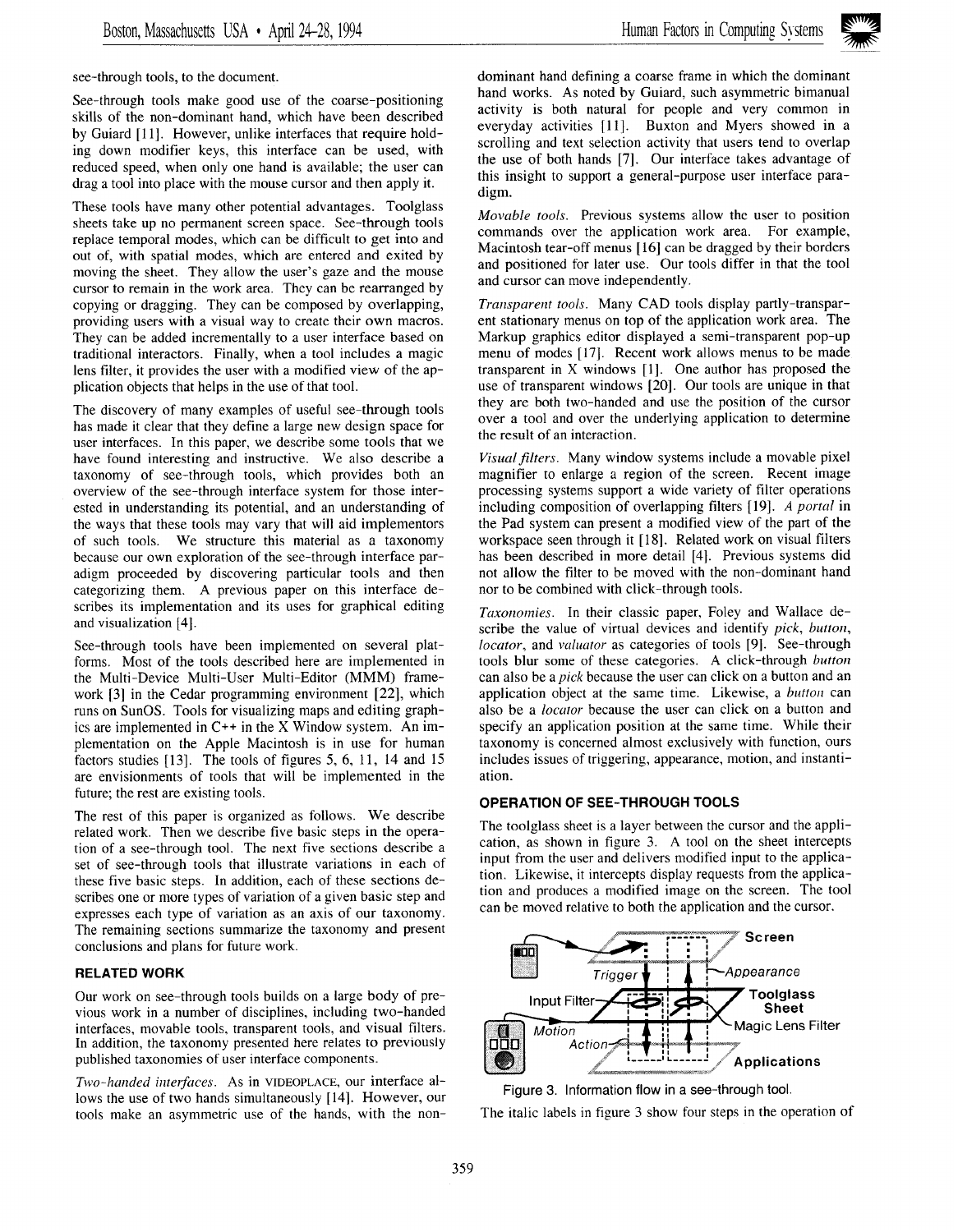see-through tools, to the document.

See-through tools make good use of the coarse-positioning skills of the non-dominant hand, which have been described by Guiard [11]. However, unlike interfaces that require holding down modifier keys, this interface can be used, with reduced speed, when only one hand is available; the user can drag a tool into place with the mouse cursor and then apply it.

These tools have many other potential advantages. Toolglass sheets take up no permanent screen space. See-through tools replace temporal modes, which can be difficult to get into and out of, with spatial modes, which are entered and exited by moving the sheet. They allow the user's gaze and the mouse cursor to remain in the work area. They can be rearranged by copying or dragging. They can be composed by overlapping, providing users with a visual way to create their own macros. They can be added incrementally to a user interface based on traditional interactors. Finally, when a tool includes a magic lens filter, it provides the user with a modified view of the application objects that helps in the use of that tool.

The discovery of many examples of useful see-through tools has made it clear that they define a large new design space for user interfaces. In this paper, we describe some tools that we have found interesting and instructive. We also describe a taxonomy of see-through tools, which provides both an overview of the see-through interface system for those interested in understanding its potential, and an understanding of the ways that these tools may vary that will aid implementors of such tools. We structure this material as a taxonomy because our own exploration of the see-through interface paradigm proceeded by discovering particular tools and then categorizing them. A previous paper on this interface describes its implementation and its uses for graphical editing and visualization [4].

See-through tools have been implemented on several platforms. Most of the tools described here are implemented in the Multi-Device Multi-User Multi-Editor (MMM) framework [3] in the Cedar programming environment [22], which runs on SunOS. Tools for visualizing maps and editing graphics are implemented in C++ in the X Window system. An implementation on the Apple Macintosh is in use for human factors studies [13]. The tools of figures 5, 6, 11, 14 and 15 are envisionments of tools that will be implemented in the future; the rest are existing tools.

The rest of this paper is organized as follows. We describe related work. Then we describe five basic steps in the operation of a see-through tool. The next five sections describe a set of see-through tools that illustrate variations in each of these five basic steps. In addition, each of these sections describes one or more types of variation of a given basic step and expresses each type of variation as an axis of our taxonomy. The remaining sections summarize the taxonomy and present conclusions and plans for future work.

#### RELATED WORK

Our work on see-through tools builds on a large body of previous work in a number of disciplines, including two-handed interfaces, movable tools, transparent tools, and visual filters. In addition, the taxonomy presented here relates to previously published taxonomies of user interface components.

Two-handed interfaces. As in VIDEOPLACE, our interface allows the use of two hands simultaneously [14]. However, our tools make an asymmetric use of the hands, with the non-



dominant hand defining a coarse frame in which the dominant hand works. As noted by Guiard, such asymmetric bimanual activity is both natural for people and very common in everyday activities [11]. Buxton and Myers showed in a scrolling and text selection activity that users tend to overlap the use of both hands [7]. Our interface takes advantage of this insight to support a general-purpose user interface paradigm.

Movable tools. Previous systems allow the user to position commands over the application work area. For example, Macintosh tear-off menus [16] can be dragged by their borders and positioned for later use. Our tools differ in that the tool and cursor can move independently.

Transparent tools. Many CAD tools display partly-transparent stationary menus on top of the application work area. The Markup graphics editor displayed a semi-transparent pop-up menu of modes [17]. Recent work allows menus to be made transparent in X windows [1]. One author has proposed the use of transparent windows [20]. Our tools are unique in that they are both two-handed and use the position of the cursor over a tool and over the underlying application to determine the result of an interaction.

Visual filters. Many window systems include a movable pixel magnifier to enlarge a region of the screen. Recent image processing systems support a wide variety of filter operations including composition of overlapping filters [19]. A portal in the Pad system can present a modified view of the part of the workspace seen through it [18]. Related work on visual filters has been described in more detail [4]. Previous systems did not allow the filter to be moved with the non-dominant hand nor to be combined with click-through tools.

Taxonomies. In their classic paper, Foley and Wallace describe the value of virtual devices and identify pick, button, locator, and valuator as categories of tools [9]. See-through tools blur some of these categories. A click-through button can also be a pick because the user can click on a button and an application object at the same time. Likewise, a button can also be a *locator* because the user can click on a button and specify an application position at the same time. While their taxonomy is concerned almost exclusively with function, ours includes issues of triggering, appearance, motion, and instantiation.

#### OPERATION OF SEE-THROUGH TOOLS

The toolglass sheet is a layer between the cursor and the application, as shown in figure 3. A tool on the sheet intercepts input from the user and delivers modified input to the application. Likewise, it intercepts display requests from the application and produces a modified image on the screen. The tool can be moved relative to both the application and the cursor.





The italic labels in figure 3 show four steps in the operation of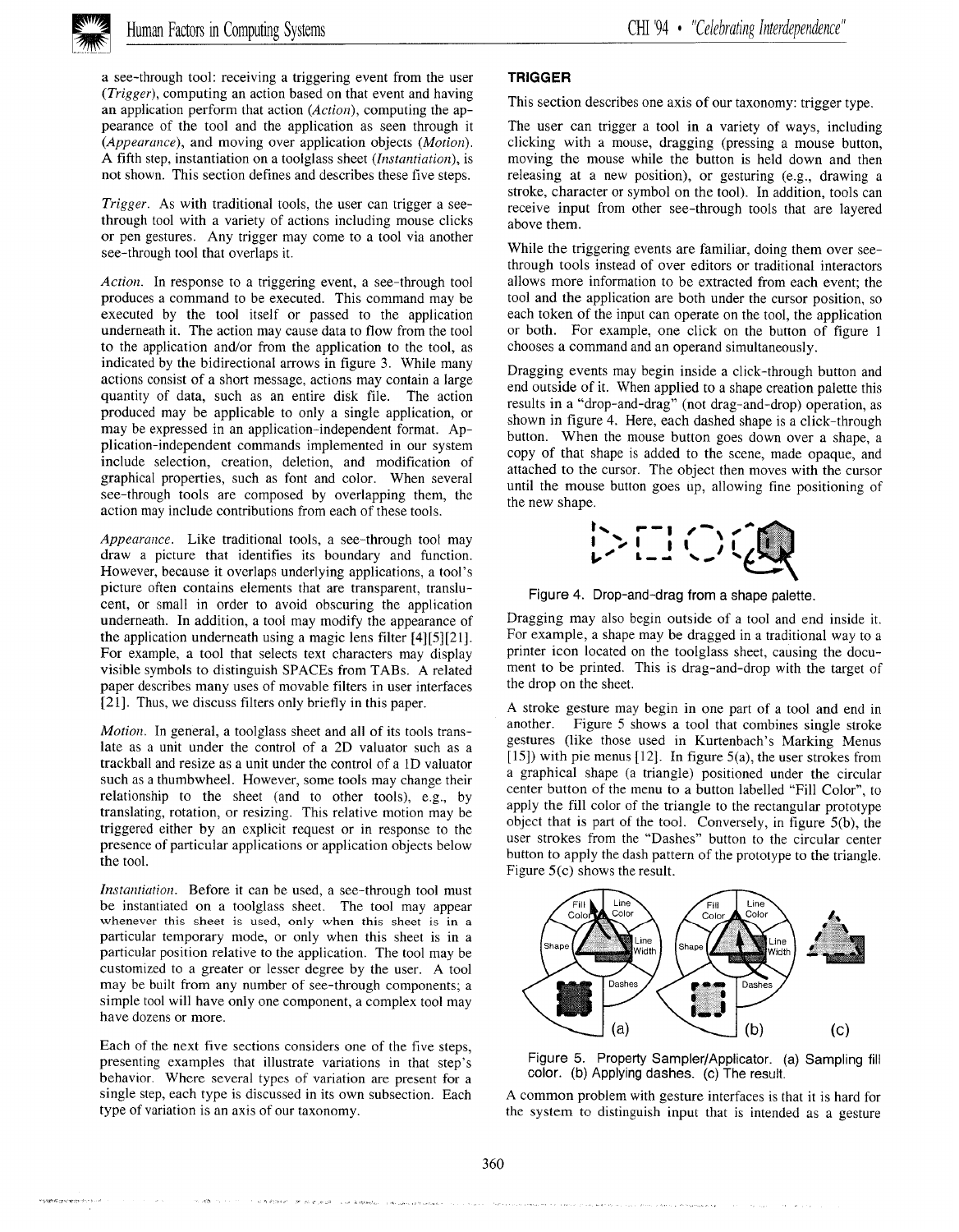a see-through tool: receiving a triggering event from the user (*Trigger*), computing an action based on that event and having an application perform that action  $(Action)$ , computing the appearance of the tool and the application as seen through it (Appearance), and moving over application objects (Motion), A fifth step, instantiation on a toolglass sheet (*Instantiation*), is not shown. This section defines and describes these five steps.

Trigger. As with traditional tools, the user can trigger a seethrough tool with a variety of actions including mouse clicks or pen gestures. Any trigger may come to a tool via another see-through tool that overlaps it.

Action. In response to a triggering event, a see-through tool produces a command to be executed. This command may be executed by the tool itself or passed to the application underneath it. The action may cause data to flow from the tool to the application and/or from the application to the tool, as indicated by the bidirectional arrows in figure 3. While many actions consist of a short message, actions may contain a large quantity of data, such as an entire disk file. The action produced may be applicable to only a single application, or may be expressed in an application-independent format. Application-independent commands implemented in our system include selection, creation, deletion, and modification of graphical properties, such as font and color. When several see-through tools are composed by overlapping them, the action may include contributions from each of these tools.

Appearance. Like traditional tools, a see-through tool may draw a picture that identifies its boundary and function. However, because it overlaps underlying applications, a tool's picture often contains elements that are transparent, translucent, or small in order to avoid obscuring the application underneath. In addition, a tool may modify the appearance of the application underneath using a magic lens filter  $[4][5][21]$ . For example, a tool that selects text characters may display visible symbols to distinguish SPACES from TABs. A related paper describes many uses of movable filters in user interfaces [21]. Thus, we discuss filters only briefly in this paper.

Motion. In general, a toolglass sheet and all of its tools translate as a unit under the control of a 2D valuator such as a trackball and resize as a unit under the control of a ID valuator such as a thumbwheel. However, some tools may change their relationship to the sheet (and to other tools), e.g., by translating, rotation, or resizing. This relative motion may be triggered either by an explicit request or in response to the presence of particular applications or application objects below the tool.

Instantiation. Before it can be used, a see-through tool must be instantiated on a toolglass sheet. The tool may appear whenever this sheet is used, only when this sheet is in a particular temporary mode, or only when this sheet is in a particular position relative to the application. The tool may be customized to a greater or lesser degree by the user. A tool may be built from any number of see-through components; a simple tool will have only one component, a complex tool may have dozens or more.

Each of the next five sections considers one of the five steps, presenting examples that illustrate variations in that step's behavior. Where several types of variation are present for a single step, each type is discussed in its own subsection. Each type of variation is an axis of our taxonomy.

# TRIGGER

This section describes one axis of our taxonomy: trigger type.

The user can trigger a tool in a variety of ways, including clicking with a mouse, dragging (pressing a mouse button, moving the mouse while the button is held down and then releasing at a new position), or gesturing (e.g., drawing a stroke, character or symbol on the tool). In addition, tools can receive input from other see-through tools that are layered above them.

While the triggering events are familiar, doing them over seethrough tools instead of over editors or traditional interactors allows more information to be extracted from each event; the tool and the application are both under the cursor position, so each token of the input can operate on the tool, the application or both. For example, one click on the button of figure 1 chooses a command and an operand simultaneously.

Dragging events may begin inside a click-through button and end outside of it. When applied to a shape creation palette this results in a "drop-and-drag" (not drag-and-drop) operation, as shown in figure 4. Here, each dashed shape is a click-through button. When the mouse button goes down over a shape, a copy of that shape is added to the scene, made opaque, and attached to the cursor. The object then moves with the cursor until the mouse button goes up, allowing fine positioning of the new shape.



Figure 4. Drop-and-drag from a shape palette.

Dragging may also begin outside of a tool and end inside it. For example, a shape may be dragged in a traditional way to a printer icon located on the toolglass sheet, causing the document to be printed. This is drag-and-drop with the target of the drop on the sheet,

A stroke gesture may begin in one part of a tool and end in another. Figure 5 shows a tool that combines single stroke gestures (like those used in Kurtenbach's Marking Menus [15]) with pie menus [12]. In figure 5(a), the user strokes from a graphical shape (a triangle) positioned under the circular center button of the menu to a button labelled "Fill Color", to apply the fill color of the triangle to the rectangular prototype object that is part of the tool. Conversely, in figure 5(b), the user strokes from the "Dashes" button to the circular center button to apply the dash pattern of the prototype to the triangle. Figure 5(c) shows the result.



Figure 5. Property Sampler/Applicator. (a) Sampling fill color. (b) Applying dashes. (c) The result.

A common problem with gesture interfaces is that it is hard for the system to distinguish input that is intended as a gesture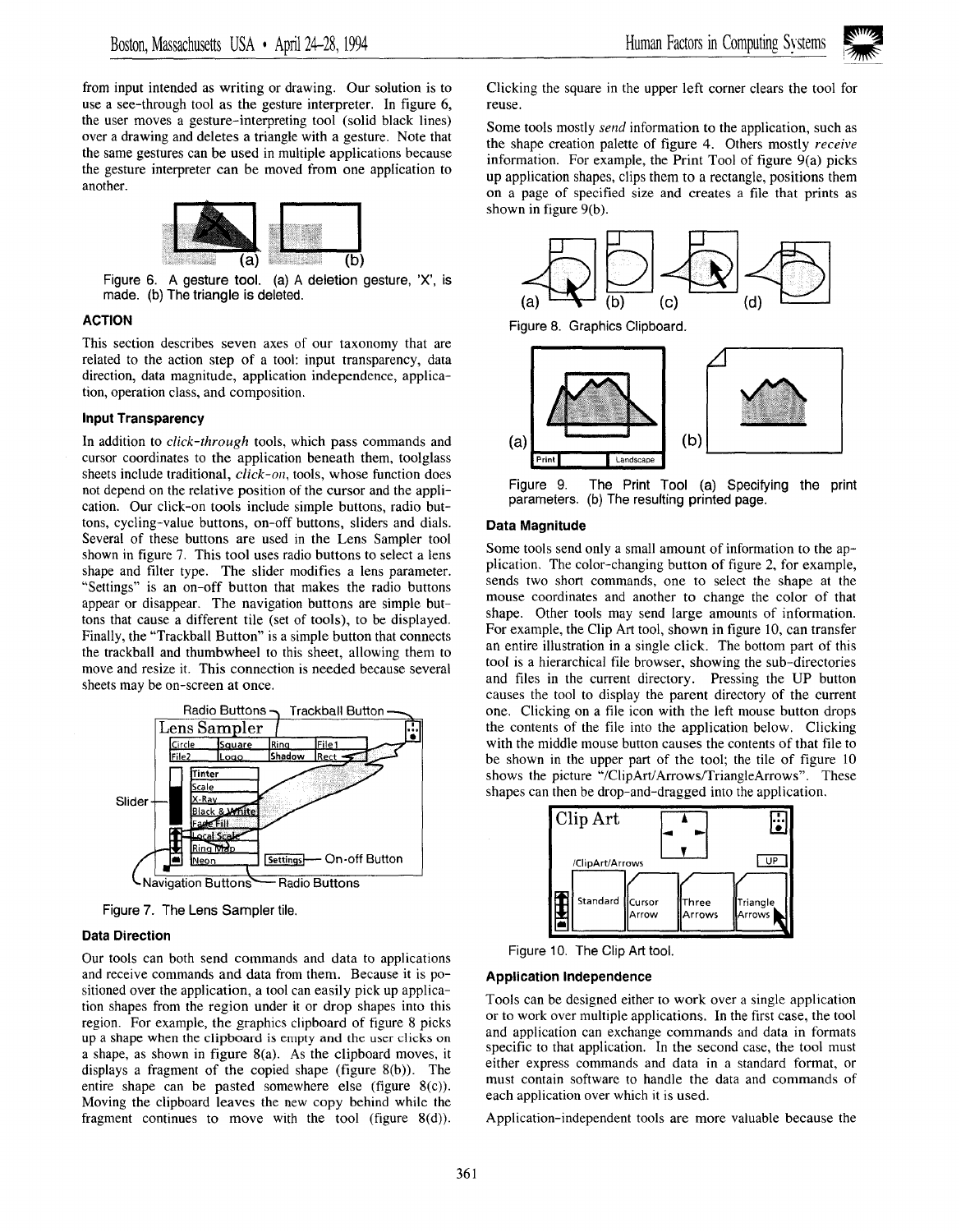from input intended as writing or drawing. Our solution is to use a see-through tool as the gesture interpreter. In figure 6, the user moves a gesture-interpreting tool (solid black lines) over a drawing and deletes a triangle with a gesture. Note that the same gestures can be used in multiple applications because the gesture interpreter can be moved from one application to another.



Figure 6. A gesture tool. (a) A deletion gesture, 'X', is made. (b) The triangle is deleted.

### ACTION

This section describes seven axes of our taxonomy that are related to the action step of a tool: input transparency, data direction, data magnitude, application independence, application, operation class, and composition.

#### Input Transparency

In addition to click-through tools, which pass commands and cursor coordinates to the application beneath them, toolglass sheets include traditional, click-on, tools, whose function does not depend on the relative position of the cursor and the application. Our click-on tools include simple buttons, radio buttons, cycling-value buttons, on-off buttons, sliders and dials. Several of these buttons are used in the Lens Sampler tool shown in figure 7. This tool uses radio buttons to select a lens shape and filter type. The slider modifies a lens parameter. "Settings" is an on-off button that makes the radio buttons appear or disappear. The navigation buttons are simple buttons that cause a different tile (set of tools), to be displayed. Finally, the "Trackball Button" is a simple button that connects the trackball and thumbwheel to this sheet, allowing them to move and resize it. This connection is needed because several sheets may be on-screen at once.



Figure 7. The Lens Sampler tile.

#### Data Direction

Our tools can both send commands and data to applications and receive commands and data from them. Because it is positioned over the application, a tool can easily pick up application shapes from the region under it or drop shapes into this region. For example, the graphics clipboard of figure 8 picks up a shape when the clipboard is empty and the user clicks on a shape, as shown in figure 8(a). As the clipboard moves, it displays a fragment of the copied shape (figure 8(b)). The entire shape can be pasted somewhere else (figure 8(c)). Moving the clipboard leaves the new copy behind while the fragment continues to move with the tool (figure  $8(d)$ ).



Clicking the square in the upper left corner clears the tool for reuse.

Some tools mostly *send* information to the application, such as the shape creation palette of figure 4. Others mostly receive information. For example, the Print Tool of figure 9(a) picks up application shapes, clips them to a rectangle, positions them on a page of specified size and creates a file that prints as shown in figure 9(b).







#### Data Magnitude

Some tools send only a small amount of information to the application. The color-changing button of figure 2, for example, sends two short commands, one to select the shape at the mouse coordinates and another to change the color of that shape. Other tools may send large amounts of information. For example, the Clip Art tool, shown in figure 10, can transfer an entire illustration in a single click. The bottom part of this tooI is a hierarchical file browser, showing the sub-directories and files in the current directory. Pressing the UP button causes the tool to display the parent directory of the current one. Clicking on a file icon with the left mouse button drops the contents of the file into the application below. Clicking with the middle mouse button causes the contents of that file to be shown in the upper part of the tool; the tile of figure 10 shows the picture "/ClipArt/Arrows/TriangleArrows". These shapes can then be drop-and-dragged into the application.



Figure 10. The Clip Art tool.

## Application Independence

Tools can be designed either to work over a single application or to work over multiple applications. In the first case, the tool and application can exchange commands and data in formats specific to that application. In the second case, the tool must either express commands and data in a standard format, or must contain software to handle the data and commands of each application over which it is used.

Application-independent tools are more valuable because the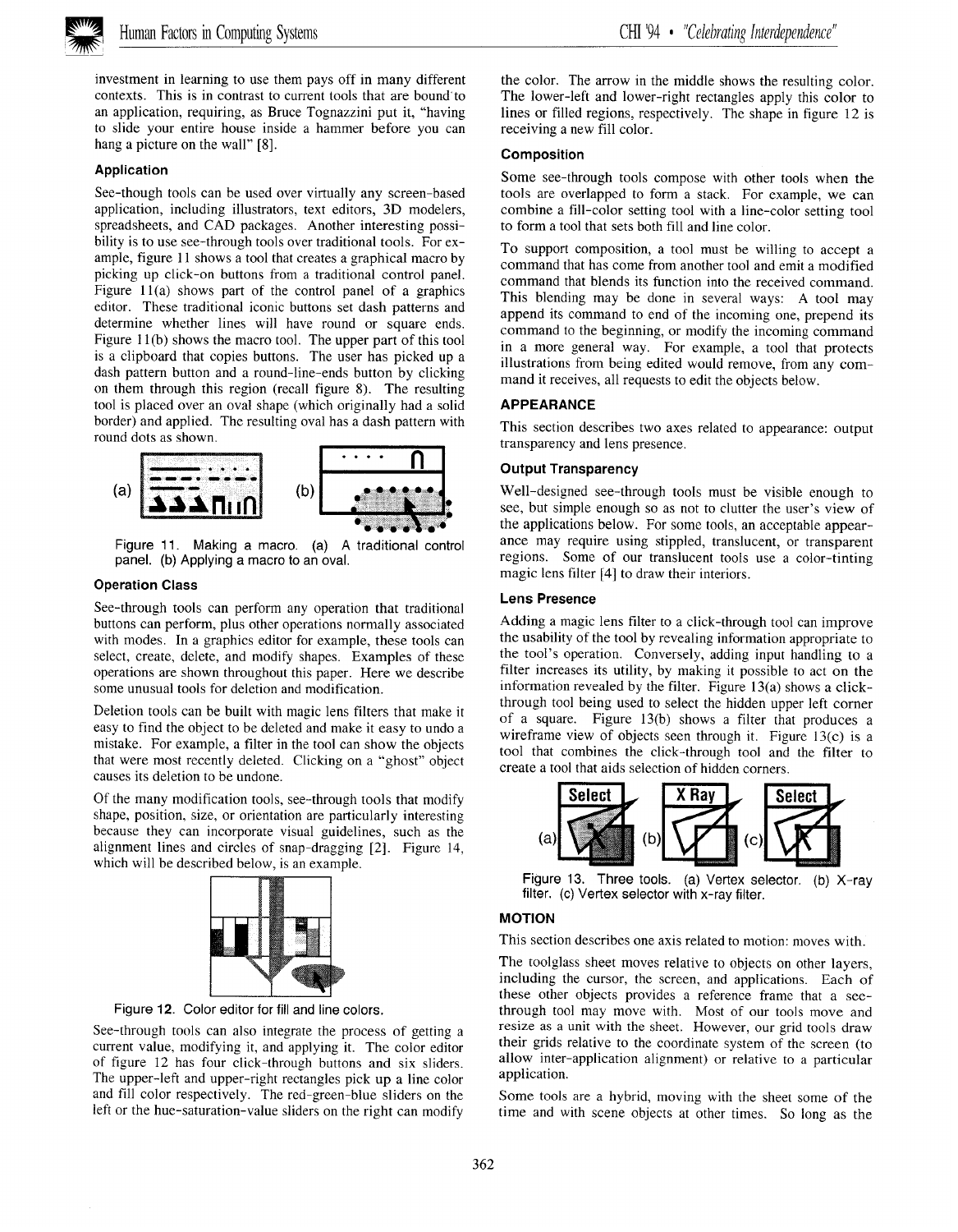

investment in learning to use them pays off in many different contexts. This is in contrast to current tools that are bound' to an application, requiring, as Bruce Tognazzini put it, "having to slide your entire house inside a hammer before you can hang a picture on the wall" [8].

#### Application

See-though tools can be used over virtually any screen-based application, including illustrators, text editors, 3D modelers, spreadsheets, and CAD packages. Another interesting possibility is to use see-through tools over traditional tools. For example, figure 11 shows a tool that creates a graphical macro by picking up click-on buttons from a traditional control panel. Figure  $11(a)$  shows part of the control panel of a graphics editor. These traditional iconic buttons set dash patterns and determine whether lines will have round or square ends. Figure  $11(b)$  shows the macro tool. The upper part of this tool is a clipboard that copies buttons. The user has picked up a dash pattern button and a round-line-ends button by clicking on them through this region (recall figure 8). The resulting tool is placed over an oval shape (which originally had a solid border) and applied. The resulting oval has a dash pattern with round dots as shown.



Figure 11. Making a macro. (a) A traditional control panel. (b) Applying a macro to an oval.

## Operation Class

See-through tools can perform any operation that traditional buttons can perform, plus other operations normally associated with modes. In a graphics editor for example, these tools can select, create, delete, and modify shapes. Examples of these operations are shown throughout this paper. Here we describe some unusual tools for deletion and modification.

Deletion tools can be built with magic lens filters that make it easy to find the object to be deleted and make it easy to undo a mistake. For example, a filter in the tool can show the objects that were most recently deleted. Clicking on a "ghost" object causes its deletion to be undone.

Of the many modification tools, see-through tools that modify shape, position, size, or orientation are particularly interesting because they can incorporate visual guidelines, such as the alignment lines and circles of snap-dragging [2]. Figure 14, which will be described below, is an example.



Figure 12. Color editor for fill and line colors.

See-through tools can also integrate the process of getting a current value, modifying it, and applying it. The color editor of figure 12 has four click-through buttons and six sliders. The upper-left and upper-right rectangles pick up a line color and fill color respectively. The red-green-blue sliders on the left or the hue-saturation-value sliders on the right can modify

the color. The arrow in the middle shows the resulting color. The lower-left and lower-right rectangles apply this color to lines or filled regions, respectively. The shape in figure 12 is receiving a new fill color.

#### **Composition**

Some see-through tools compose with other tools when the tools are overlapped to form a stack. For example, we can combine a fill-color setting tool with a line-color setting tool to form a tool that sets both fill and line color.

To support composition, a tool must be willing to accept a command that has come from another tool and emit a modified command that blends its function into the received command. This blending may be done in several ways: A tool may append its command to end of the incoming one, prepend its command to the beginning, or modify the incoming command in a more general way. For example, a tool that protects illustrations from being edited would remove, from any command it receives, all requests to edit the objects below.

## APPEARANCE

This section describes two axes related to appearance: output transparency and lens presence.

## Output Transparency

Well-designed see-through tools must be visible enough to see, but simple enough so as not to clutter the user's view of the applications below. For some tools, an acceptable appearance may require using stippled, translucent, or transparent regions. Some of our translucent tools use a color-tinting magic lens filter [4] to draw their interiors.

### Lens Presence

Adding a magic lens filter to a click-through tool can improve the usability of the tool by revealing information appropriate to the tool's operation. Conversely, adding input handling to a filter increases its utility, by making it possible to act on the information revealed by the filter. Figure 13(a) shows a clickthrough tool being used to select the hidden upper left corner of a square. Figure 13(b) shows a filter that produces a wireframe view of objects seen through it. Figure 13(c) is a tool that combines the click-through tool and the filter to create a tool that aids selection of hidden corners.



Figure 13. Three tools. (a) Vertex selector. (b) X-ray filter. (c) Vertex selector with x-ray filter.

#### MOTION

This section describes one axis related to motion: moves with.

The toolglass sheet moves relative to objects on other layers, including the cursor, the screen, and applications. Each of these other objects provides a reference frame that a seethrough tool may move with. Most of our tools move and resize as a unit with the sheet. However, our grid tools draw their grids relative to the coordinate system of the screen (to allow inter-application alignment) or relative to a particular application.

Some tools are a hybrid, moving with the sheet some of the time and with scene objects at other times. So long as the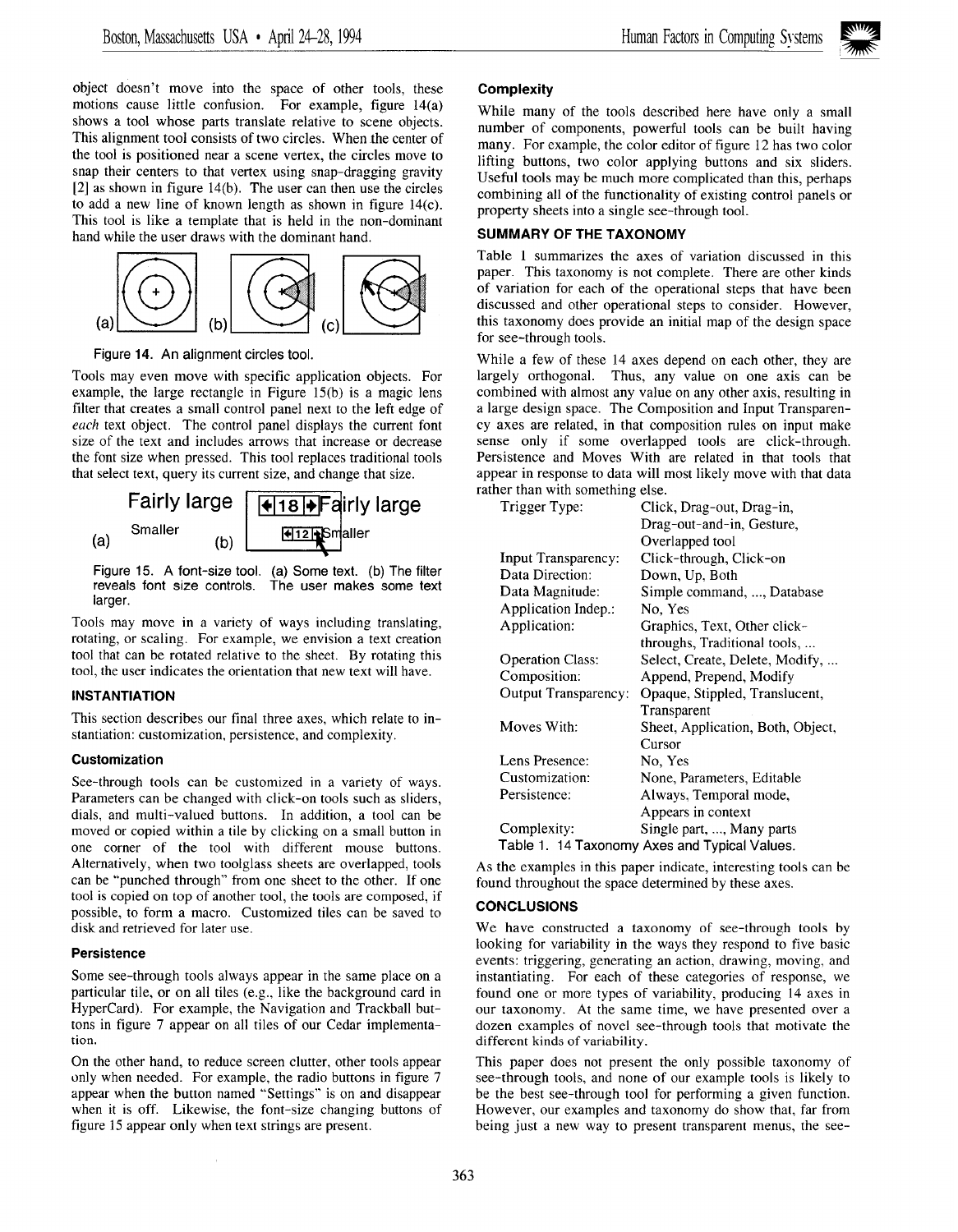

object doesn't move into the space of other tools, these motions cause little confusion. For example, figure 14(a) shows a tool whose parts translate relative to scene objects. This alignment tool consists of two circles. When the center of the tool is positioned near a scene vertex, the circles move to snap their centers to that vertex using snap-dragging gravity [2] as shown in figure 14(b). The user can then use the circles This tool is like a template that is held in the non-dominant hand while the user draws with the dominant hand.



Figure 14. An alignment circles tool,

Tools may even move with specific application objects. For example, the large rectangle in Figure 15(b) is a magic lens filter that creates a small control panel next to the left edge of each text object. The control panel displays the current font size of the text and includes arrows that increase or decrease the font size when pressed. This tool replaces traditional tools



Figure 15. A font-size tool. (a) Some text. (b) The filter reveals font size controls. The user makes some text larger.

Tools may move in a variety of ways including translating, rotating, or scaling. For example, we envision a text creation tool that can be rotated relative to the sheet. By rotating this tool, the user indicates the orientation that new text will have.

# INSTANTIATION

This section describes our final three axes, which relate to instantiation: customization, persistence, and complexity.

## Customization

See-through tools can be customized in a variety of ways. Parameters can be changed with click-on tools such as sliders, dials, and multi-valued buttons. In addition, a tool can be moved or copied within a tile by clicking on a small button in one corner of the tool with different mouse buttons. Alternatively, when two toolglass sheets are overlapped, tools can be "punched through" from one sheet to the other. If one tool is copied on top of another tool, the tools are composed, if possible, to form a macro. Customized tiles can be saved to disk and retrieved for later use.

## Persistence

Some see-through tools always appear in the same place on a particular tile, or on all tiles (e.g., like the background card in HyperCard). For example, the Navigation and Trackball buttons in figure 7 appear on all tiles of our Cedar implementation.

On the other hand, to reduce screen clutter, other tools appear only when needed. For example, the radio buttons in figure 7 appear when the button named "Settings" is on and disappear when it is off. Likewise, the font-size changing buttons of figure 15 appear only when text strings are present.

# **Complexity**

While many of the tools described here have only a small number of components, powerful tools can be built having many. For example, the color editor of figure 12 has two color lifting buttons, two color applying buttons and six sliders. Useful tools may be much more complicated than this, perhaps combining all of the functionality of existing control panels or property sheets into a single see-through tool.

# SUMMARY OF THE TAXONOMY

Table 1 summarizes the axes of variation discussed in this paper. This taxonomy is not complete. There are other kinds of variation for each of the operational steps that have been discussed and other operational steps to consider. However, this taxonomy does provide an initial map of the design space for see-through tools.

While a few of these 14 axes depend on each other, they are largely orthogonal. Thus, any value on one axis can be combined with almost any value on any other axis, resulting in a large design space. The Composition and Input Transparency axes are related, in that composition rules on input make sense only if some overlapped tools are click-through. Persistence and Moves With are related in that tools that appear in response to data will most likely move with that data rather than with something else.

| Trigger Type:                                 | Click, Drag-out, Drag-in,         |
|-----------------------------------------------|-----------------------------------|
|                                               | Drag-out-and-in, Gesture,         |
|                                               | Overlapped tool                   |
| <b>Input Transparency:</b>                    | Click-through, Click-on           |
| Data Direction:                               | Down, Up, Both                    |
| Data Magnitude:                               | Simple command, , Database        |
| Application Indep.:                           | No. Yes                           |
| Application:                                  | Graphics, Text, Other click-      |
|                                               | throughs, Traditional tools,      |
| <b>Operation Class:</b>                       | Select, Create, Delete, Modify,   |
| Composition:                                  | Append, Prepend, Modify           |
| <b>Output Transparency:</b>                   | Opaque, Stippled, Translucent,    |
|                                               | Transparent                       |
| Moves With:                                   | Sheet, Application, Both, Object, |
|                                               | Cursor                            |
| Lens Presence:                                | No, Yes                           |
| Customization:                                | None, Parameters, Editable        |
| Persistence:                                  | Always, Temporal mode,            |
|                                               | Appears in context                |
| Complexity:                                   | Single part, , Many parts         |
| Table 1. 14 Taxonomy Axes and Typical Values. |                                   |

As the examples in this paper indicate, interesting tools can be found throughout the space determined by these axes.

# **CONCLUSIONS**

We have constructed a taxonomy of see-through tools by looking for variability in the ways they respond to five basic events: triggering, generating an action, drawing, moving, and instantiating. For each of these categories of response, we found one or more types of variability, producing 14 axes in our taxonomy. At the same time, we have presented over a dozen examples of novel see-through tools that motivate the different kinds of variability.

This paper does not present the only possible taxonomy of see-through tools, and none of our example tools is likely to be the best see-through tool for performing a given function. However, our examples and taxonomy do show that, far from being just a new way to present transparent menus, the see-